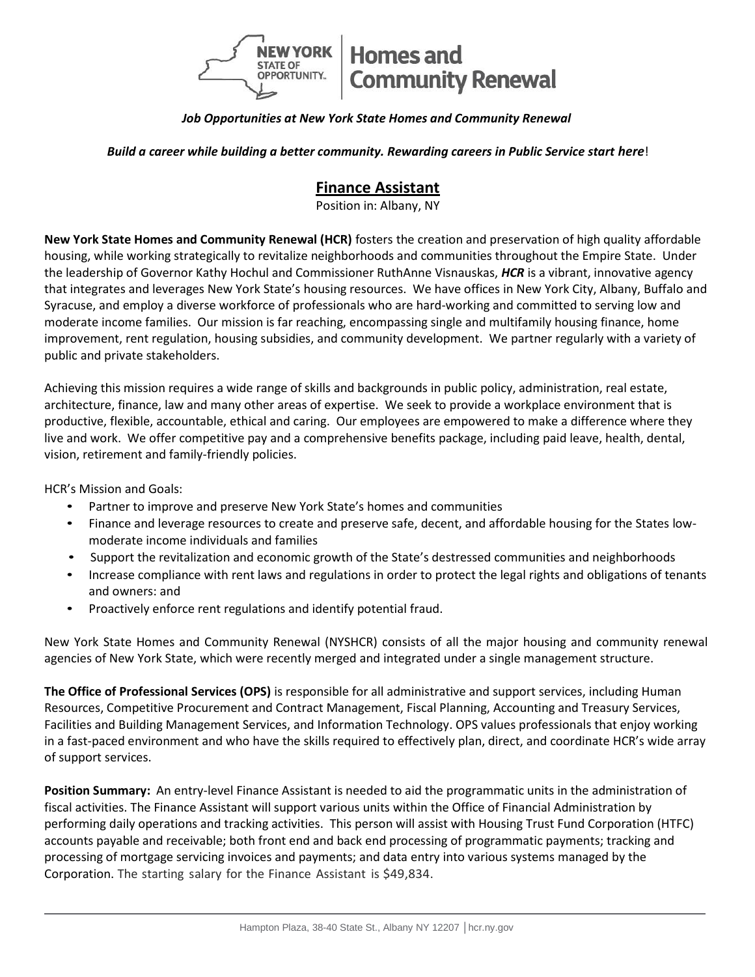

## *Job Opportunities at New York State Homes and Community Renewal*

*Build a career while building a better community. Rewarding careers in Public Service start here*!

# **Finance Assistant**

Position in: Albany, NY

**New York State Homes and Community Renewal (HCR)** fosters the creation and preservation of high quality affordable housing, while working strategically to revitalize neighborhoods and communities throughout the Empire State. Under the leadership of Governor Kathy Hochul and Commissioner RuthAnne Visnauskas, *HCR* is a vibrant, innovative agency that integrates and leverages New York State's housing resources. We have offices in New York City, Albany, Buffalo and Syracuse, and employ a diverse workforce of professionals who are hard-working and committed to serving low and moderate income families. Our mission is far reaching, encompassing single and multifamily housing finance, home improvement, rent regulation, housing subsidies, and community development. We partner regularly with a variety of public and private stakeholders.

Achieving this mission requires a wide range of skills and backgrounds in public policy, administration, real estate, architecture, finance, law and many other areas of expertise. We seek to provide a workplace environment that is productive, flexible, accountable, ethical and caring. Our employees are empowered to make a difference where they live and work. We offer competitive pay and a comprehensive benefits package, including paid leave, health, dental, vision, retirement and family-friendly policies.

HCR's Mission and Goals:

- Partner to improve and preserve New York State's homes and communities
- Finance and leverage resources to create and preserve safe, decent, and affordable housing for the States lowmoderate income individuals and families
- Support the revitalization and economic growth of the State's destressed communities and neighborhoods
- Increase compliance with rent laws and regulations in order to protect the legal rights and obligations of tenants and owners: and
- Proactively enforce rent regulations and identify potential fraud.

New York State Homes and Community Renewal (NYSHCR) consists of all the major housing and community renewal agencies of New York State, which were recently merged and integrated under a single management structure.

**The Office of Professional Services (OPS)** is responsible for all administrative and support services, including Human Resources, Competitive Procurement and Contract Management, Fiscal Planning, Accounting and Treasury Services, Facilities and Building Management Services, and Information Technology. OPS values professionals that enjoy working in a fast‐paced environment and who have the skills required to effectively plan, direct, and coordinate HCR's wide array of support services.

**Position Summary:** An entry-level Finance Assistant is needed to aid the programmatic units in the administration of fiscal activities. The Finance Assistant will support various units within the Office of Financial Administration by performing daily operations and tracking activities. This person will assist with Housing Trust Fund Corporation (HTFC) accounts payable and receivable; both front end and back end processing of programmatic payments; tracking and processing of mortgage servicing invoices and payments; and data entry into various systems managed by the Corporation. The starting salary for the Finance Assistant is \$49,834.